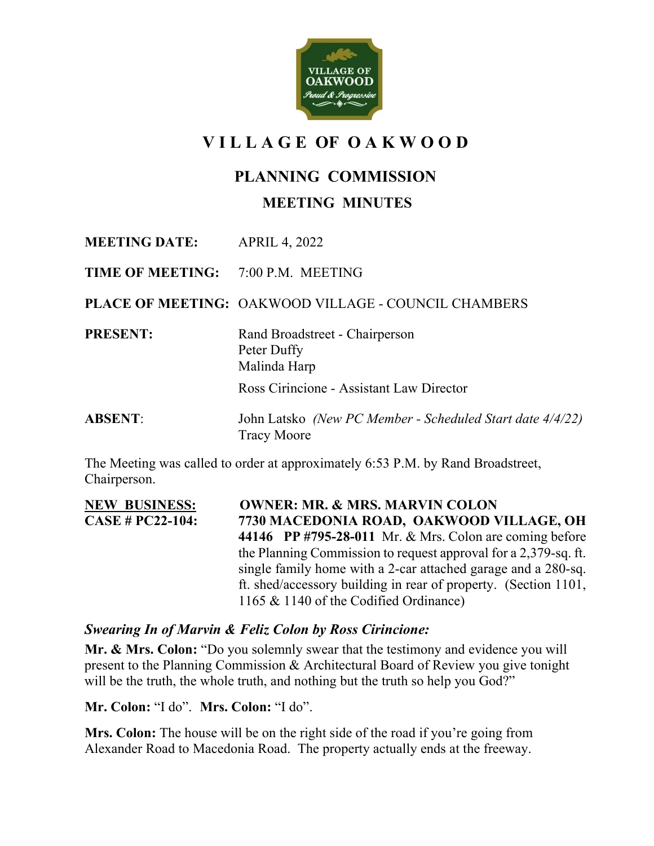

## **V I L L A G E OF O A K W O O D**

## **PLANNING COMMISSION**

## **MEETING MINUTES**

**MEETING DATE:** APRIL 4, 2022

**TIME OF MEETING:** 7:00 P.M. MEETING

**PLACE OF MEETING:** OAKWOOD VILLAGE - COUNCIL CHAMBERS

**PRESENT:** Rand Broadstreet - Chairperson

Malinda Harp

Peter Duffy

Ross Cirincione - Assistant Law Director

**ABSENT**: John Latsko *(New PC Member - Scheduled Start date 4/4/22)* Tracy Moore

The Meeting was called to order at approximately 6:53 P.M. by Rand Broadstreet, Chairperson.

**NEW BUSINESS: OWNER: MR. & MRS. MARVIN COLON CASE # PC22-104: 7730 MACEDONIA ROAD, OAKWOOD VILLAGE, OH 44146 PP #795-28-011** Mr. & Mrs. Colon are coming before the Planning Commission to request approval for a 2,379-sq. ft. single family home with a 2-car attached garage and a 280-sq. ft. shed/accessory building in rear of property. (Section 1101, 1165 & 1140 of the Codified Ordinance)

## *Swearing In of Marvin & Feliz Colon by Ross Cirincione:*

**Mr. & Mrs. Colon:** "Do you solemnly swear that the testimony and evidence you will present to the Planning Commission & Architectural Board of Review you give tonight will be the truth, the whole truth, and nothing but the truth so help you God?"

**Mr. Colon:** "I do". **Mrs. Colon:** "I do".

**Mrs. Colon:** The house will be on the right side of the road if you're going from Alexander Road to Macedonia Road. The property actually ends at the freeway.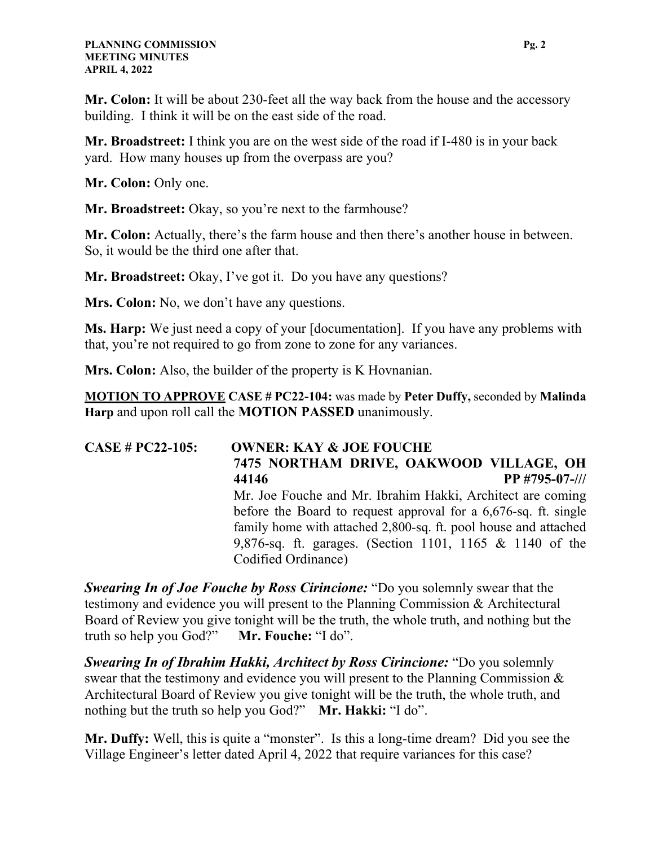**Mr. Colon:** It will be about 230-feet all the way back from the house and the accessory building. I think it will be on the east side of the road.

**Mr. Broadstreet:** I think you are on the west side of the road if I-480 is in your back yard. How many houses up from the overpass are you?

**Mr. Colon:** Only one.

**Mr. Broadstreet:** Okay, so you're next to the farmhouse?

**Mr. Colon:** Actually, there's the farm house and then there's another house in between. So, it would be the third one after that.

**Mr. Broadstreet:** Okay, I've got it. Do you have any questions?

**Mrs. Colon:** No, we don't have any questions.

**Ms. Harp:** We just need a copy of your [documentation]. If you have any problems with that, you're not required to go from zone to zone for any variances.

**Mrs. Colon:** Also, the builder of the property is K Hovnanian.

**MOTION TO APPROVE CASE # PC22-104:** was made by **Peter Duffy,** seconded by **Malinda Harp** and upon roll call the **MOTION PASSED** unanimously.

**CASE # PC22-105: OWNER: KAY & JOE FOUCHE 7475 NORTHAM DRIVE, OAKWOOD VILLAGE, OH 44146 PP #795-07-///** Mr. Joe Fouche and Mr. Ibrahim Hakki, Architect are coming before the Board to request approval for a 6,676-sq. ft. single family home with attached 2,800-sq. ft. pool house and attached 9,876-sq. ft. garages. (Section 1101, 1165 & 1140 of the Codified Ordinance)

*Swearing In of Joe Fouche by Ross Cirincione:* "Do you solemnly swear that the testimony and evidence you will present to the Planning Commission & Architectural Board of Review you give tonight will be the truth, the whole truth, and nothing but the truth so help you God?" **Mr. Fouche:** "I do".

*Swearing In of Ibrahim Hakki, Architect by Ross Cirincione:* "Do you solemnly swear that the testimony and evidence you will present to the Planning Commission & Architectural Board of Review you give tonight will be the truth, the whole truth, and nothing but the truth so help you God?" **Mr. Hakki:** "I do".

**Mr. Duffy:** Well, this is quite a "monster". Is this a long-time dream? Did you see the Village Engineer's letter dated April 4, 2022 that require variances for this case?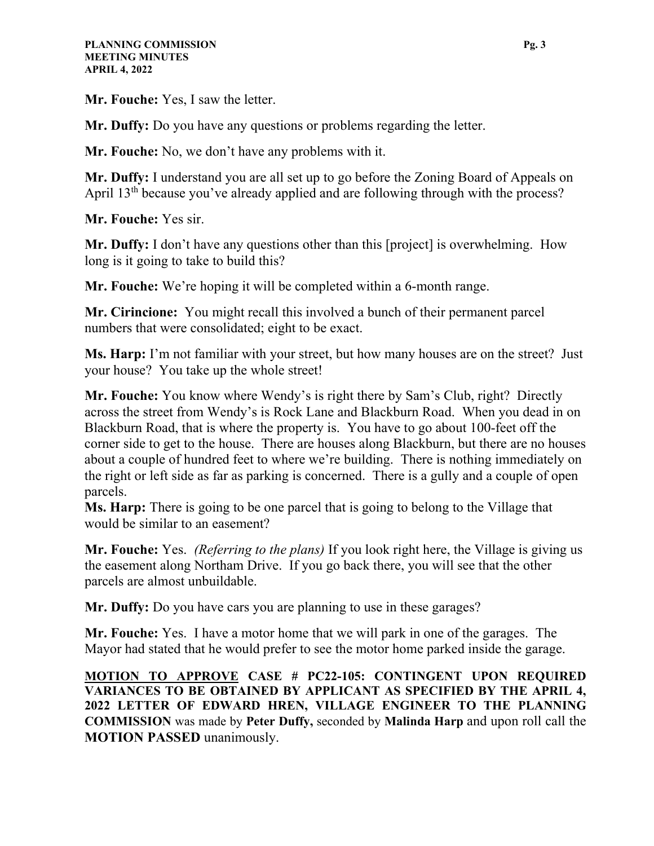**Mr. Fouche:** Yes, I saw the letter.

**Mr. Duffy:** Do you have any questions or problems regarding the letter.

**Mr. Fouche:** No, we don't have any problems with it.

**Mr. Duffy:** I understand you are all set up to go before the Zoning Board of Appeals on April 13<sup>th</sup> because you've already applied and are following through with the process?

**Mr. Fouche:** Yes sir.

**Mr. Duffy:** I don't have any questions other than this [project] is overwhelming. How long is it going to take to build this?

**Mr. Fouche:** We're hoping it will be completed within a 6-month range.

**Mr. Cirincione:** You might recall this involved a bunch of their permanent parcel numbers that were consolidated; eight to be exact.

**Ms. Harp:** I'm not familiar with your street, but how many houses are on the street? Just your house? You take up the whole street!

**Mr. Fouche:** You know where Wendy's is right there by Sam's Club, right? Directly across the street from Wendy's is Rock Lane and Blackburn Road. When you dead in on Blackburn Road, that is where the property is. You have to go about 100-feet off the corner side to get to the house. There are houses along Blackburn, but there are no houses about a couple of hundred feet to where we're building. There is nothing immediately on the right or left side as far as parking is concerned. There is a gully and a couple of open parcels.

**Ms. Harp:** There is going to be one parcel that is going to belong to the Village that would be similar to an easement?

**Mr. Fouche:** Yes. *(Referring to the plans)* If you look right here, the Village is giving us the easement along Northam Drive. If you go back there, you will see that the other parcels are almost unbuildable.

**Mr. Duffy:** Do you have cars you are planning to use in these garages?

**Mr. Fouche:** Yes. I have a motor home that we will park in one of the garages. The Mayor had stated that he would prefer to see the motor home parked inside the garage.

**MOTION TO APPROVE CASE # PC22-105: CONTINGENT UPON REQUIRED VARIANCES TO BE OBTAINED BY APPLICANT AS SPECIFIED BY THE APRIL 4, 2022 LETTER OF EDWARD HREN, VILLAGE ENGINEER TO THE PLANNING COMMISSION** was made by **Peter Duffy,** seconded by **Malinda Harp** and upon roll call the **MOTION PASSED** unanimously.